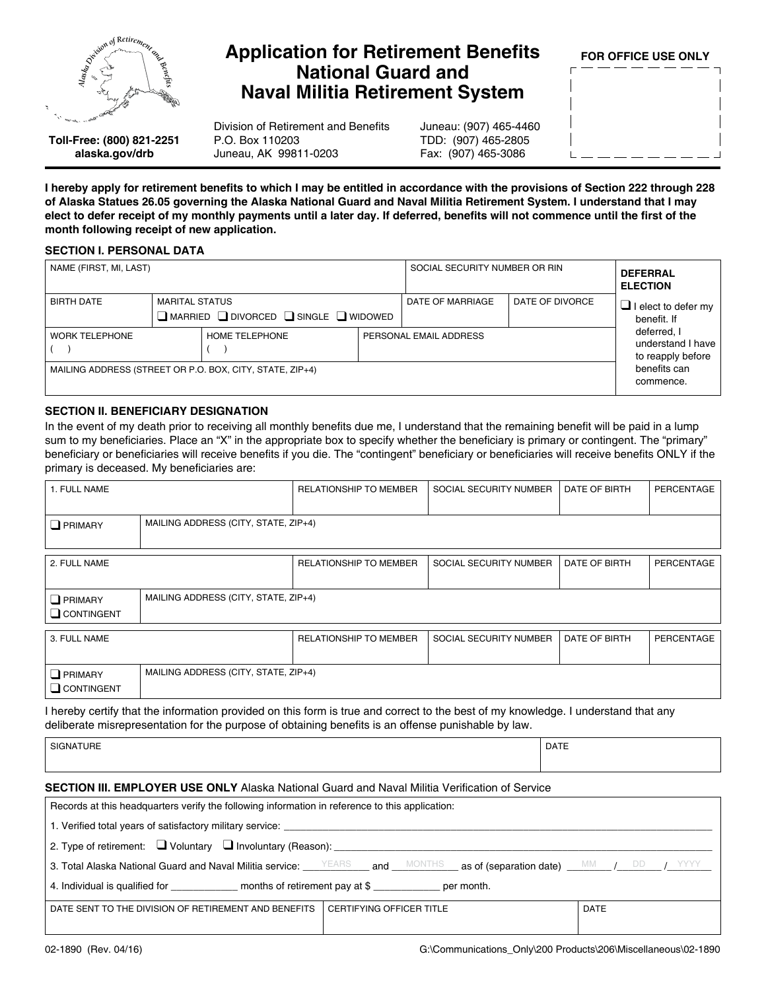

# **Application for Retirement Benefits National Guard and Naval Militia Retirement System**

Division of Retirement and Benefits P.O. Box 110203 Juneau, AK 99811-0203

Juneau: (907) 465-4460 TDD: (907) 465-2805 Fax: (907) 465-3086

FOR OFFICE USE ONLY

Toll-Free: (800) 821-2251 alaska.gov/drb

I hereby apply for retirement benefits to which I may be entitled in accordance with the provisions of Section 222 through 228 of Alaska Statues 26.05 governing the Alaska National Guard and Naval Militia Retirement System. I understand that I may elect to defer receipt of my monthly payments until a later day. If deferred, benefits will not commence until the first of the month following receipt of new application.

### **SECTION I. PERSONAL DATA**

| NAME (FIRST, MI, LAST)                                   |                       |                                                             | SOCIAL SECURITY NUMBER OR RIN |                  | <b>DEFERRAL</b><br><b>ELECTION</b>                    |                                           |  |  |
|----------------------------------------------------------|-----------------------|-------------------------------------------------------------|-------------------------------|------------------|-------------------------------------------------------|-------------------------------------------|--|--|
| <b>BIRTH DATE</b>                                        | <b>MARITAL STATUS</b> | $\Box$ MARRIED $\Box$ DIVORCED $\Box$ SINGLE $\Box$ WIDOWED |                               | DATE OF MARRIAGE | DATE OF DIVORCE                                       | $\Box$ I elect to defer my<br>benefit. If |  |  |
| HOME TELEPHONE<br><b>WORK TELEPHONE</b>                  |                       |                                                             | PERSONAL EMAIL ADDRESS        |                  | deferred, I<br>understand I have<br>to reapply before |                                           |  |  |
| MAILING ADDRESS (STREET OR P.O. BOX, CITY, STATE, ZIP+4) |                       |                                                             |                               |                  | benefits can<br>commence.                             |                                           |  |  |

## **SECTION II. BENEFICIARY DESIGNATION**

In the event of my death prior to receiving all monthly benefits due me, I understand that the remaining benefit will be paid in a lump sum to my beneficiaries. Place an "X" in the appropriate box to specify whether the beneficiary is primary or contingent. The "primary" beneficiary or beneficiaries will receive benefits if you die. The "contingent" beneficiary or beneficiaries will receive benefits ONLY if the primary is deceased. My beneficiaries are:

| 1. FULL NAME                        |                                      | <b>RELATIONSHIP TO MEMBER</b> | SOCIAL SECURITY NUMBER | DATE OF BIRTH | PERCENTAGE |  |
|-------------------------------------|--------------------------------------|-------------------------------|------------------------|---------------|------------|--|
| $\Box$ PRIMARY                      | MAILING ADDRESS (CITY, STATE, ZIP+4) |                               |                        |               |            |  |
| 2. FULL NAME                        |                                      | <b>RELATIONSHIP TO MEMBER</b> | SOCIAL SECURITY NUMBER | DATE OF BIRTH | PERCENTAGE |  |
| $\Box$ PRIMARY<br>$\Box$ CONTINGENT | MAILING ADDRESS (CITY, STATE, ZIP+4) |                               |                        |               |            |  |
| 3. FULL NAME                        |                                      | <b>RELATIONSHIP TO MEMBER</b> | SOCIAL SECURITY NUMBER | DATE OF BIRTH | PERCENTAGE |  |
| $\Box$ PRIMARY<br>$\Box$ CONTINGENT | MAILING ADDRESS (CITY, STATE, ZIP+4) |                               |                        |               |            |  |

I hereby certify that the information provided on this form is true and correct to the best of my knowledge. I understand that any deliberate misrepresentation for the purpose of obtaining benefits is an offense punishable by law.

| ---<br>ъ.<br>ั∪⊩ | <b>DATE</b> |
|------------------|-------------|
|                  |             |

## **SECTION III. EMPLOYER USE ONLY Alaska National Guard and Naval Militia Verification of Service**

| Records at this headquarters verify the following information in reference to this application:                                                                                                                                                  |             |  |  |  |  |  |
|--------------------------------------------------------------------------------------------------------------------------------------------------------------------------------------------------------------------------------------------------|-------------|--|--|--|--|--|
|                                                                                                                                                                                                                                                  |             |  |  |  |  |  |
| 2. Type of retirement: $\Box$ Voluntary $\Box$ Involuntary (Reason):                                                                                                                                                                             |             |  |  |  |  |  |
| 3. Total Alaska National Guard and Naval Militia service: $\frac{YEARS}{T}$ and $\frac{MONTHS}{T}$ as of (separation date) $\frac{MML}{T}$ $\frac{MML}{T}$ $\frac{DDM}{T}$ $\frac{1}{T}$ $\frac{1}{T}$ $\frac{1}{T}$ $\frac{1}{T}$ $\frac{1}{T}$ |             |  |  |  |  |  |
| 4. Individual is qualified for The Theorem months of retirement pay at \$<br>per month.                                                                                                                                                          |             |  |  |  |  |  |
| CERTIFYING OFFICER TITLE<br>DATE SENT TO THE DIVISION OF RETIREMENT AND BENEFITS                                                                                                                                                                 | <b>DATE</b> |  |  |  |  |  |